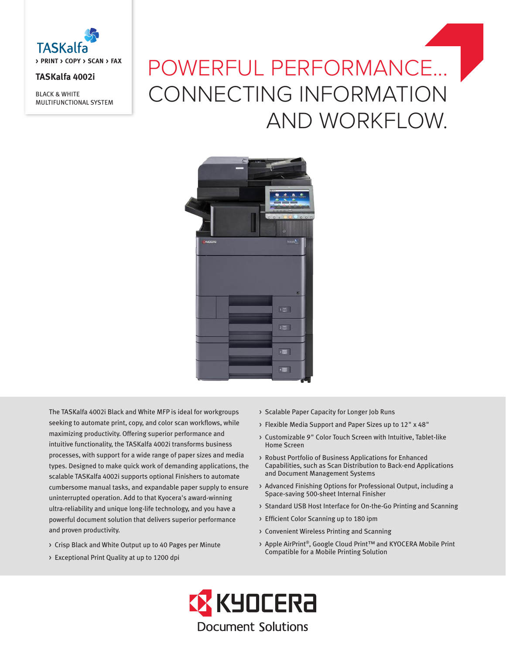

# **TASKalfa 4002i**

BLACK & WHITE MULTIFUNCTIONAL SYSTEM

# POWERFUL PERFORMANCE... CONNECTING INFORMATION AND WORKFLOW.



The TASKalfa 4002i Black and White MFP is ideal for workgroups seeking to automate print, copy, and color scan workflows, while maximizing productivity. Offering superior performance and intuitive functionality, the TASKalfa 4002i transforms business processes, with support for a wide range of paper sizes and media types. Designed to make quick work of demanding applications, the scalable TASKalfa 4002i supports optional Finishers to automate cumbersome manual tasks, and expandable paper supply to ensure uninterrupted operation. Add to that Kyocera's award-winning ultra-reliability and unique long-life technology, and you have a powerful document solution that delivers superior performance and proven productivity.

- > Crisp Black and White Output up to 40 Pages per Minute
- > Exceptional Print Quality at up to 1200 dpi
- > Scalable Paper Capacity for Longer Job Runs
- > Flexible Media Support and Paper Sizes up to 12" x 48"
- > Customizable 9" Color Touch Screen with Intuitive, Tablet-like Home Screen
- > Robust Portfolio of Business Applications for Enhanced Capabilities, such as Scan Distribution to Back-end Applications and Document Management Systems
- > Advanced Finishing Options for Professional Output, including a Space-saving 500-sheet Internal Finisher
- > Standard USB Host Interface for On-the-Go Printing and Scanning
- > Efficient Color Scanning up to 180 ipm
- > Convenient Wireless Printing and Scanning
- > Apple AirPrint®, Google Cloud Print™ and KYOCERA Mobile Print Compatible for a Mobile Printing Solution